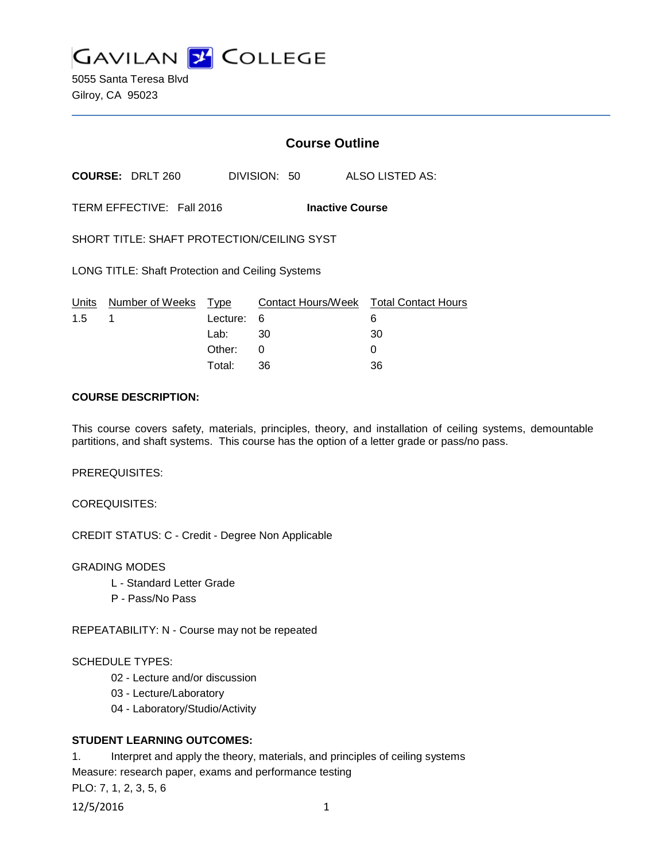

5055 Santa Teresa Blvd Gilroy, CA 95023

# **Course Outline**

**COURSE:** DRLT 260 DIVISION: 50 ALSO LISTED AS:

TERM EFFECTIVE: Fall 2016 **Inactive Course**

SHORT TITLE: SHAFT PROTECTION/CEILING SYST

LONG TITLE: Shaft Protection and Ceiling Systems

|               | Units Number of Weeks Type |            | Contact Hours/Week  Total Contact Hours |    |
|---------------|----------------------------|------------|-----------------------------------------|----|
| $1.5 \quad 1$ |                            | Lecture: 6 |                                         |    |
|               |                            | Lab: _     | - 30                                    | 30 |
|               |                            | Other: 0   |                                         |    |
|               |                            | Total:     | -36                                     | 36 |

#### **COURSE DESCRIPTION:**

This course covers safety, materials, principles, theory, and installation of ceiling systems, demountable partitions, and shaft systems. This course has the option of a letter grade or pass/no pass.

PREREQUISITES:

COREQUISITES:

CREDIT STATUS: C - Credit - Degree Non Applicable

#### GRADING MODES

- L Standard Letter Grade
- P Pass/No Pass

REPEATABILITY: N - Course may not be repeated

#### SCHEDULE TYPES:

- 02 Lecture and/or discussion
- 03 Lecture/Laboratory
- 04 Laboratory/Studio/Activity

#### **STUDENT LEARNING OUTCOMES:**

1. Interpret and apply the theory, materials, and principles of ceiling systems Measure: research paper, exams and performance testing PLO: 7, 1, 2, 3, 5, 6

12/5/2016 1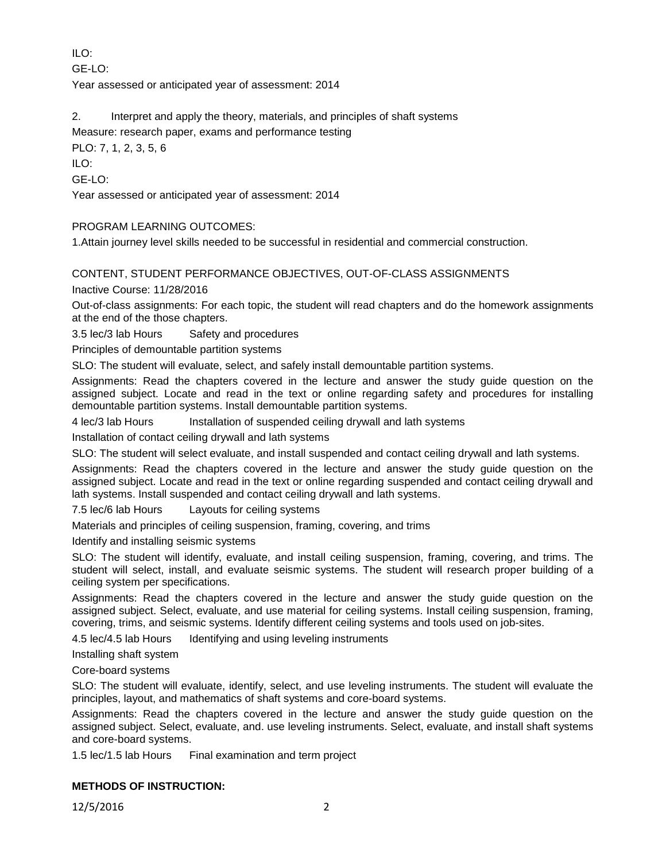ILO:

 $GF-I O<sup>2</sup>$ 

Year assessed or anticipated year of assessment: 2014

2. Interpret and apply the theory, materials, and principles of shaft systems

Measure: research paper, exams and performance testing

PLO: 7, 1, 2, 3, 5, 6

ILO:

GE-LO:

Year assessed or anticipated year of assessment: 2014

## PROGRAM LEARNING OUTCOMES:

1.Attain journey level skills needed to be successful in residential and commercial construction.

### CONTENT, STUDENT PERFORMANCE OBJECTIVES, OUT-OF-CLASS ASSIGNMENTS

Inactive Course: 11/28/2016

Out-of-class assignments: For each topic, the student will read chapters and do the homework assignments at the end of the those chapters.

3.5 lec/3 lab Hours Safety and procedures

Principles of demountable partition systems

SLO: The student will evaluate, select, and safely install demountable partition systems.

Assignments: Read the chapters covered in the lecture and answer the study guide question on the assigned subject. Locate and read in the text or online regarding safety and procedures for installing demountable partition systems. Install demountable partition systems.

4 lec/3 lab Hours Installation of suspended ceiling drywall and lath systems

Installation of contact ceiling drywall and lath systems

SLO: The student will select evaluate, and install suspended and contact ceiling drywall and lath systems.

Assignments: Read the chapters covered in the lecture and answer the study guide question on the assigned subject. Locate and read in the text or online regarding suspended and contact ceiling drywall and lath systems. Install suspended and contact ceiling drywall and lath systems.

7.5 lec/6 lab Hours Layouts for ceiling systems

Materials and principles of ceiling suspension, framing, covering, and trims

Identify and installing seismic systems

SLO: The student will identify, evaluate, and install ceiling suspension, framing, covering, and trims. The student will select, install, and evaluate seismic systems. The student will research proper building of a ceiling system per specifications.

Assignments: Read the chapters covered in the lecture and answer the study guide question on the assigned subject. Select, evaluate, and use material for ceiling systems. Install ceiling suspension, framing, covering, trims, and seismic systems. Identify different ceiling systems and tools used on job-sites.

4.5 lec/4.5 lab Hours Identifying and using leveling instruments

Installing shaft system

Core-board systems

SLO: The student will evaluate, identify, select, and use leveling instruments. The student will evaluate the principles, layout, and mathematics of shaft systems and core-board systems.

Assignments: Read the chapters covered in the lecture and answer the study guide question on the assigned subject. Select, evaluate, and. use leveling instruments. Select, evaluate, and install shaft systems and core-board systems.

1.5 lec/1.5 lab Hours Final examination and term project

### **METHODS OF INSTRUCTION:**

12/5/2016 2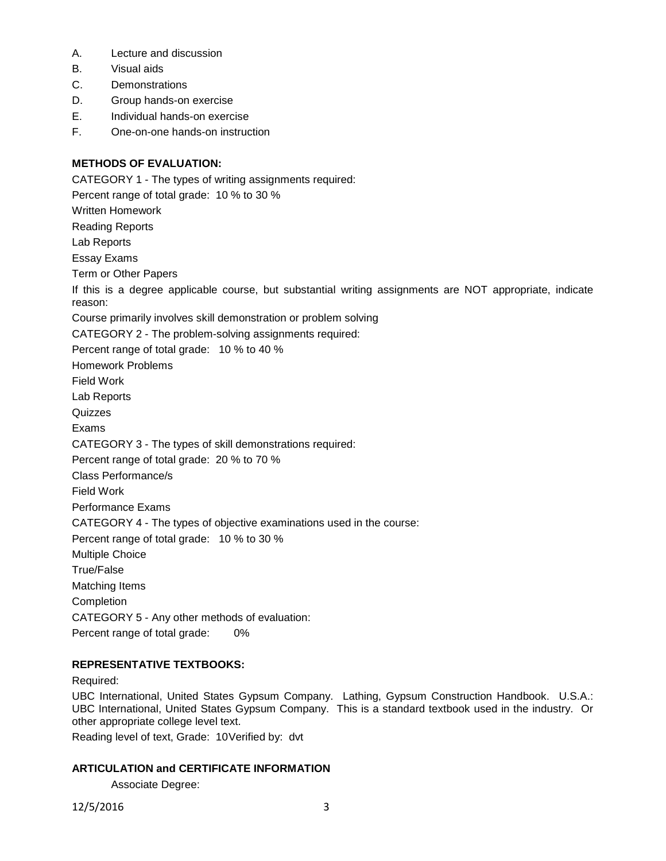- A. Lecture and discussion
- B. Visual aids
- C. Demonstrations
- D. Group hands-on exercise
- E. Individual hands-on exercise
- F. One-on-one hands-on instruction

## **METHODS OF EVALUATION:**

CATEGORY 1 - The types of writing assignments required: Percent range of total grade: 10 % to 30 % Written Homework Reading Reports Lab Reports Essay Exams Term or Other Papers If this is a degree applicable course, but substantial writing assignments are NOT appropriate, indicate reason: Course primarily involves skill demonstration or problem solving CATEGORY 2 - The problem-solving assignments required: Percent range of total grade: 10 % to 40 % Homework Problems Field Work Lab Reports **Quizzes** Exams CATEGORY 3 - The types of skill demonstrations required: Percent range of total grade: 20 % to 70 % Class Performance/s Field Work Performance Exams CATEGORY 4 - The types of objective examinations used in the course: Percent range of total grade: 10 % to 30 % Multiple Choice True/False Matching Items **Completion** CATEGORY 5 - Any other methods of evaluation: Percent range of total grade: 0%

# **REPRESENTATIVE TEXTBOOKS:**

Required:

UBC International, United States Gypsum Company. Lathing, Gypsum Construction Handbook. U.S.A.: UBC International, United States Gypsum Company. This is a standard textbook used in the industry. Or other appropriate college level text.

Reading level of text, Grade: 10Verified by: dvt

### **ARTICULATION and CERTIFICATE INFORMATION**

Associate Degree:

12/5/2016 3